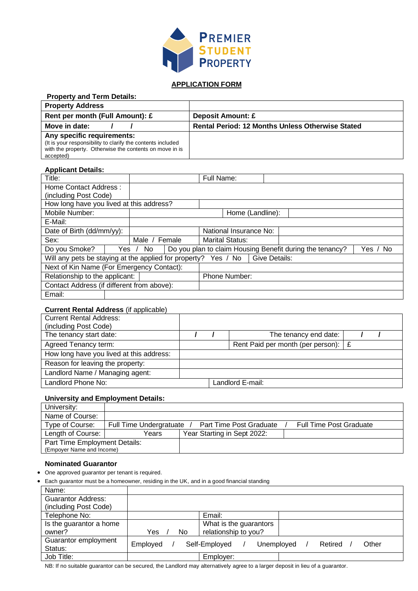

# **APPLICATION FORM**

| <b>Property and Term Details:</b>                           |                                                         |
|-------------------------------------------------------------|---------------------------------------------------------|
| <b>Property Address</b>                                     |                                                         |
| Rent per month (Full Amount): £                             | <b>Deposit Amount: £</b>                                |
| Move in date:                                               | <b>Rental Period: 12 Months Unless Otherwise Stated</b> |
| Any specific requirements:                                  |                                                         |
| (It is your responsibility to clarify the contents included |                                                         |
| with the property. Otherwise the contents on move in is     |                                                         |
| accepted)                                                   |                                                         |

#### **Applicant Details:**

| Title:                                                |       |               |               | Full Name:             |                  |                                                          |              |
|-------------------------------------------------------|-------|---------------|---------------|------------------------|------------------|----------------------------------------------------------|--------------|
| Home Contact Address:                                 |       |               |               |                        |                  |                                                          |              |
| (including Post Code)                                 |       |               |               |                        |                  |                                                          |              |
| How long have you lived at this address?              |       |               |               |                        |                  |                                                          |              |
| Mobile Number:                                        |       |               |               |                        | Home (Landline): |                                                          |              |
| E-Mail:                                               |       |               |               |                        |                  |                                                          |              |
| Date of Birth (dd/mm/yy):                             |       |               |               | National Insurance No: |                  |                                                          |              |
| Sex:                                                  |       | Male / Female |               | <b>Marital Status:</b> |                  |                                                          |              |
| Do you Smoke?                                         | Yes / | No.           |               |                        |                  | Do you plan to claim Housing Benefit during the tenancy? | No.<br>Yes , |
| Will any pets be staying at the applied for property? |       | Yes / No      | Give Details: |                        |                  |                                                          |              |
| Next of Kin Name (For Emergency Contact):             |       |               |               |                        |                  |                                                          |              |
| Relationship to the applicant:                        |       | Phone Number: |               |                        |                  |                                                          |              |
| Contact Address (if different from above):            |       |               |               |                        |                  |                                                          |              |
| Email:                                                |       |               |               |                        |                  |                                                          |              |

## **Current Rental Address** (if applicable)

| <b>Current Rental Address:</b><br>(including Post Code) |  |                                       |  |  |
|---------------------------------------------------------|--|---------------------------------------|--|--|
| The tenancy start date:                                 |  | The tenancy end date:                 |  |  |
| Agreed Tenancy term:                                    |  | Rent Paid per month (per person): $E$ |  |  |
| How long have you lived at this address:                |  |                                       |  |  |
| Reason for leaving the property:                        |  |                                       |  |  |
| Landlord Name / Managing agent:                         |  |                                       |  |  |
| Landlord Phone No:                                      |  | Landlord E-mail:                      |  |  |

### **University and Employment Details:**

| University:                   |                         |                             |                                |
|-------------------------------|-------------------------|-----------------------------|--------------------------------|
| Name of Course:               |                         |                             |                                |
| Type of Course:               | Full Time Undergratuate | Part Time Post Graduate     | <b>Full Time Post Graduate</b> |
| Length of Course:             | Years                   | Year Starting in Sept 2022: |                                |
| Part Time Employment Details: |                         |                             |                                |
| (Empoyer Name and Income)     |                         |                             |                                |

#### **Nominated Guarantor**

- One approved guarantor per tenant is required.
- Each guarantor must be a homeowner, residing in the UK, and in a good financial standing

| Name:                     |           |                             |         |       |
|---------------------------|-----------|-----------------------------|---------|-------|
| <b>Guarantor Address:</b> |           |                             |         |       |
| (including Post Code)     |           |                             |         |       |
| Telephone No:             |           | Email:                      |         |       |
| Is the guarantor a home   |           | What is the guarantors      |         |       |
| owner?                    | Yes<br>No | relationship to you?        |         |       |
| Guarantor employment      | Employed  | Self-Employed<br>Unemployed | Retired | Other |
| Status:                   |           |                             |         |       |
| Job Title:                |           | Employer:                   |         |       |

NB: If no suitable guarantor can be secured, the Landlord may alternatively agree to a larger deposit in lieu of a guarantor.